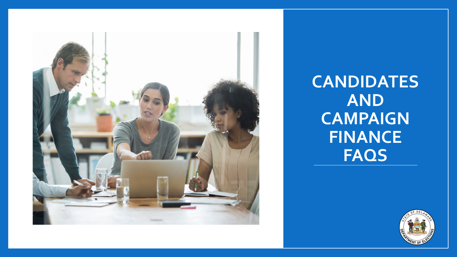

**CANDIDATES AND CAMPAIGN FINANCE FAQS**

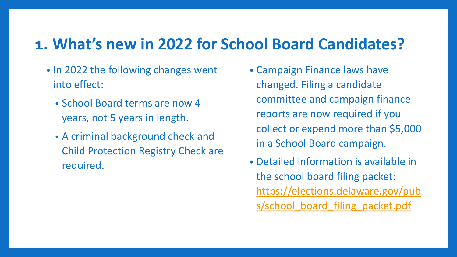## **1. What's new in 2022 for School Board Candidates?**

- In 2022 the following changes went into effect:
	- School Board terms are now 4 years, not 5 years in length.
	- A criminal background check and Child Protection Registry Check are required.
- Campaign Finance laws have changed. Filing a candidate committee and campaign finance reports are now required if you collect or expend more than \$5,000 in a School Board campaign.
- Detailed information is available in the school board filing packet: [https://elections.delaware.gov/pub](https://elections.delaware.gov/pubs/school_board_filing_packet.pdf) s/school board filing packet.pdf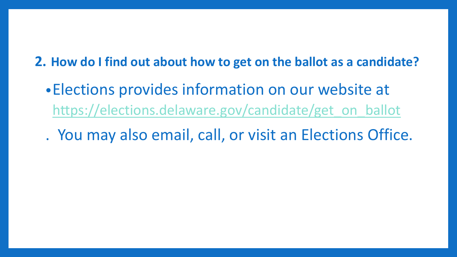#### **2. How do I find out about how to get on the ballot as a candidate?**

- •Elections provides information on our website at https://elections.delaware.gov/candidate/get on ballot
- . You may also email, call, or visit an Elections Office.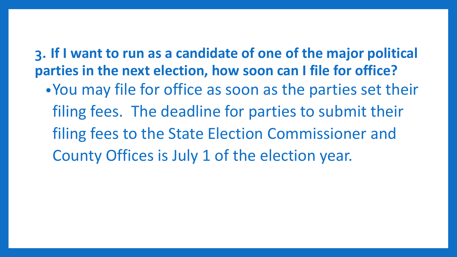**3. If I want to run as a candidate of one of the major political parties in the next election, how soon can I file for office?**

•You may file for office as soon as the parties set their filing fees. The deadline for parties to submit their filing fees to the State Election Commissioner and County Offices is July 1 of the election year.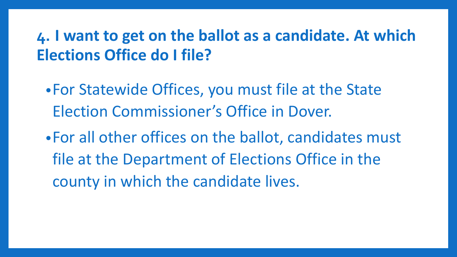# **4. I want to get on the ballot as a candidate. At which Elections Office do I file?**

- •For Statewide Offices, you must file at the State Election Commissioner's Office in Dover.
- •For all other offices on the ballot, candidates must file at the Department of Elections Office in the county in which the candidate lives.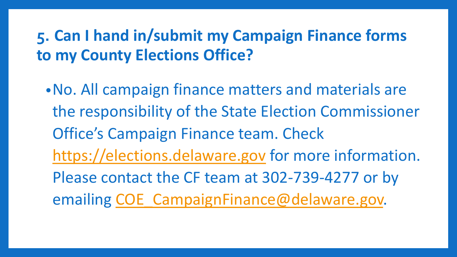# **5. Can I hand in/submit my Campaign Finance forms to my County Elections Office?**

•No. All campaign finance matters and materials are the responsibility of the State Election Commissioner Office's Campaign Finance team. Check [https://elections.delaware.gov](https://elections.delaware.gov/) for more information. Please contact the CF team at 302-739-4277 or by emailing [COE\\_CampaignFinance@delaware.gov.](mailto:COE_CampaignFinance@delaware.gov)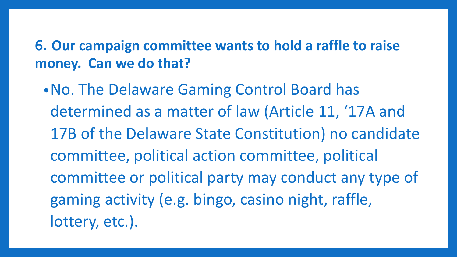**6. Our campaign committee wants to hold a raffle to raise money. Can we do that?**

•No. The Delaware Gaming Control Board has determined as a matter of law (Article 11, '17A and 17B of the Delaware State Constitution) no candidate committee, political action committee, political committee or political party may conduct any type of gaming activity (e.g. bingo, casino night, raffle, lottery, etc.).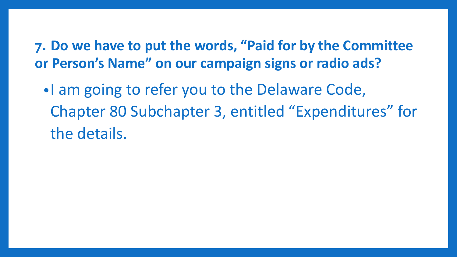**7. Do we have to put the words, "Paid for by the Committee or Person's Name" on our campaign signs or radio ads?**

•I am going to refer you to the Delaware Code, Chapter 80 Subchapter 3, entitled "Expenditures" for the details.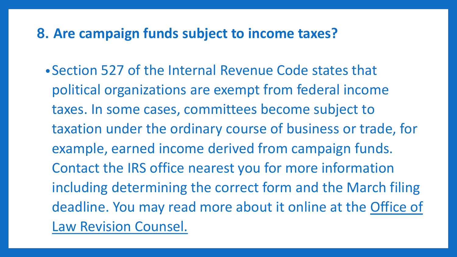#### **8. Are campaign funds subject to income taxes?**

•Section 527 of the Internal Revenue Code states that political organizations are exempt from federal income taxes. In some cases, committees become subject to taxation under the ordinary course of business or trade, for example, earned income derived from campaign funds. Contact the IRS office nearest you for more information including determining the correct form and the March filing [deadline. You may read more about it online at the](http://uscode.house.gov/) Office of Law Revision Counsel.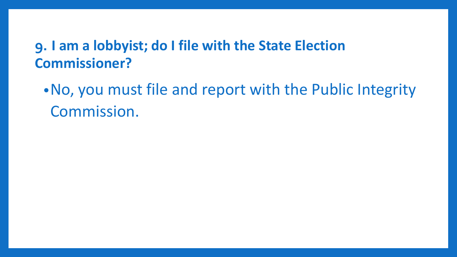### **9. I am a lobbyist; do I file with the State Election Commissioner?**

•No, you must file and report with the Public Integrity Commission.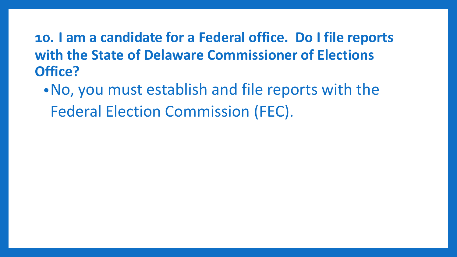**10. I am a candidate for a Federal office. Do I file reports with the State of Delaware Commissioner of Elections Office?**

•No, you must establish and file reports with the Federal Election Commission (FEC).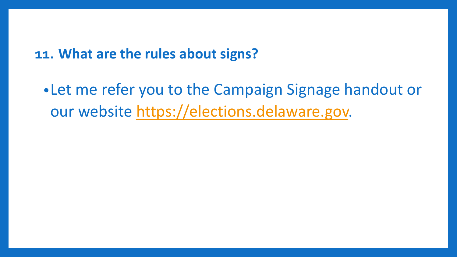#### **11. What are the rules about signs?**

•Let me refer you to the Campaign Signage handout or our website [https://elections.delaware.gov.](https://elections.delaware.gov/)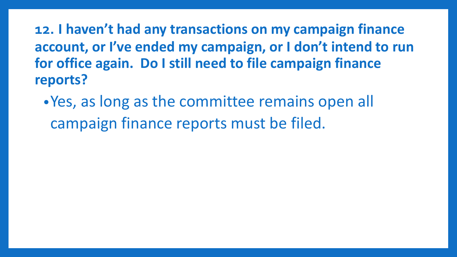**12. I haven't had any transactions on my campaign finance account, or I've ended my campaign, or I don't intend to run for office again. Do I still need to file campaign finance reports?**

•Yes, as long as the committee remains open all campaign finance reports must be filed.